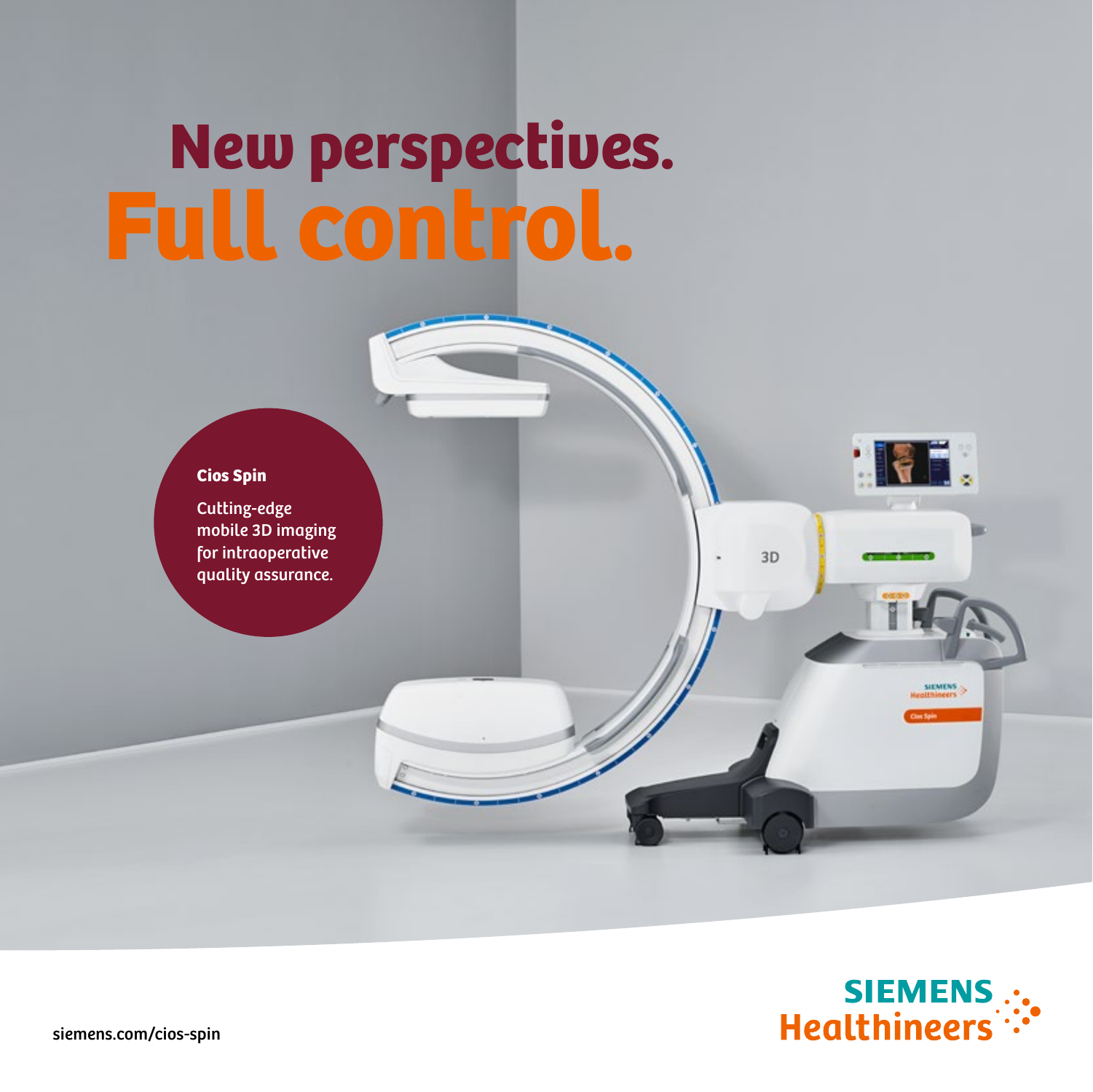# New perspectives. Full control.



Cutting-edge mobile 3D imaging for intraoperative quality assurance.



**HEL** 

**SIEMEN!** 

 $3D$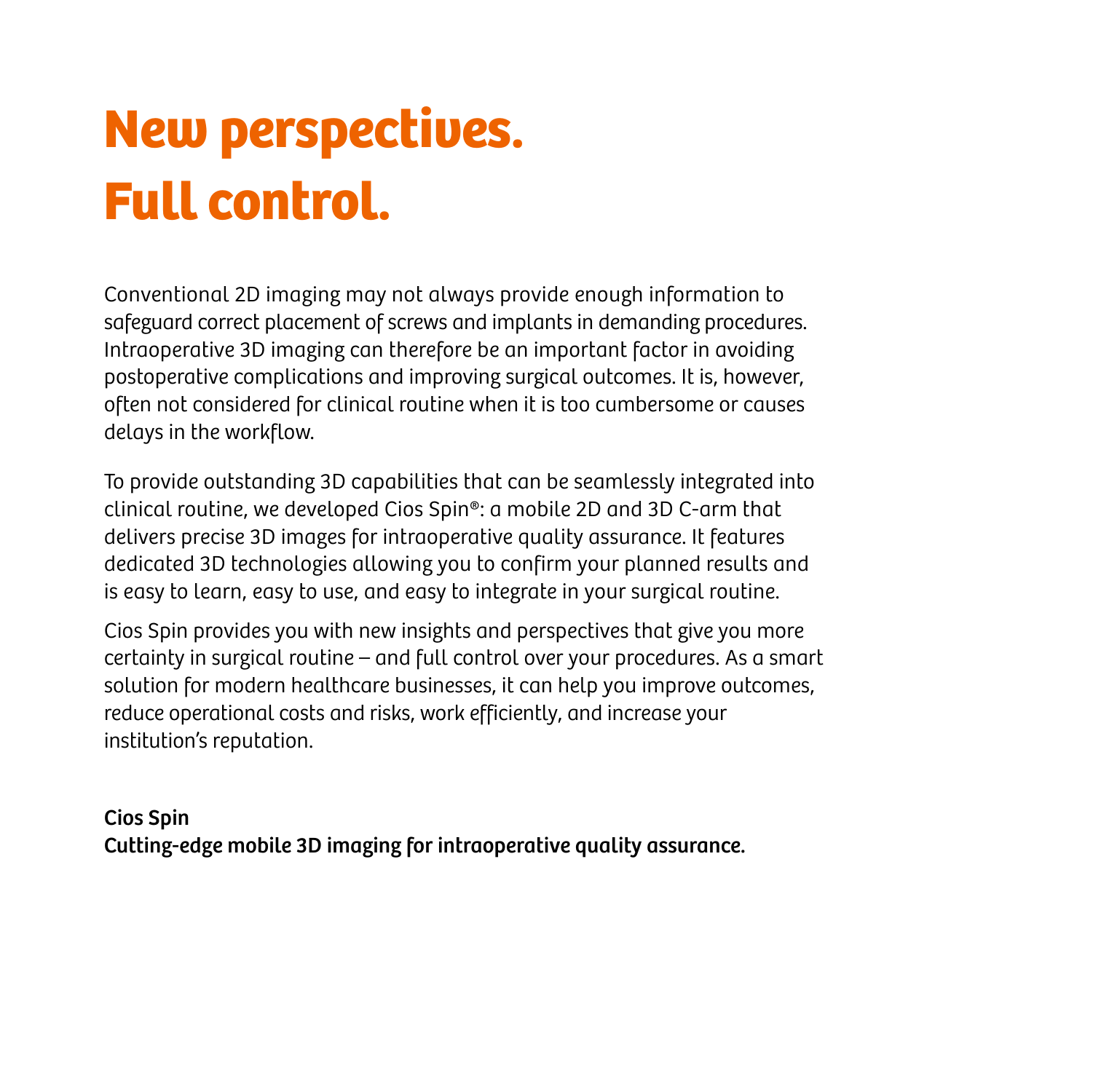### New perspectives. Full control.

Conventional 2D imaging may not always provide enough information to safeguard correct placement of screws and implants in demanding procedures. Intraoperative 3D imaging can therefore be an important factor in avoiding postoperative complications and improving surgical outcomes. It is, however, often not considered for clinical routine when it is too cumbersome or causes delays in the workflow.

To provide outstanding 3D capabilities that can be seamlessly integrated into clinical routine, we developed Cios Spin®: a mobile 2D and 3D C-arm that delivers precise 3D images for intraoperative quality assurance. It features dedicated 3D technologies allowing you to confirm your planned results and is easy to learn, easy to use, and easy to integrate in your surgical routine.

Cios Spin provides you with new insights and perspectives that give you more certainty in surgical routine – and full control over your procedures. As a smart solution for modern healthcare businesses, it can help you improve outcomes, reduce operational costs and risks, work efficiently, and increase your institution's reputation.

Cios Spin Cutting-edge mobile 3D imaging for intraoperative quality assurance.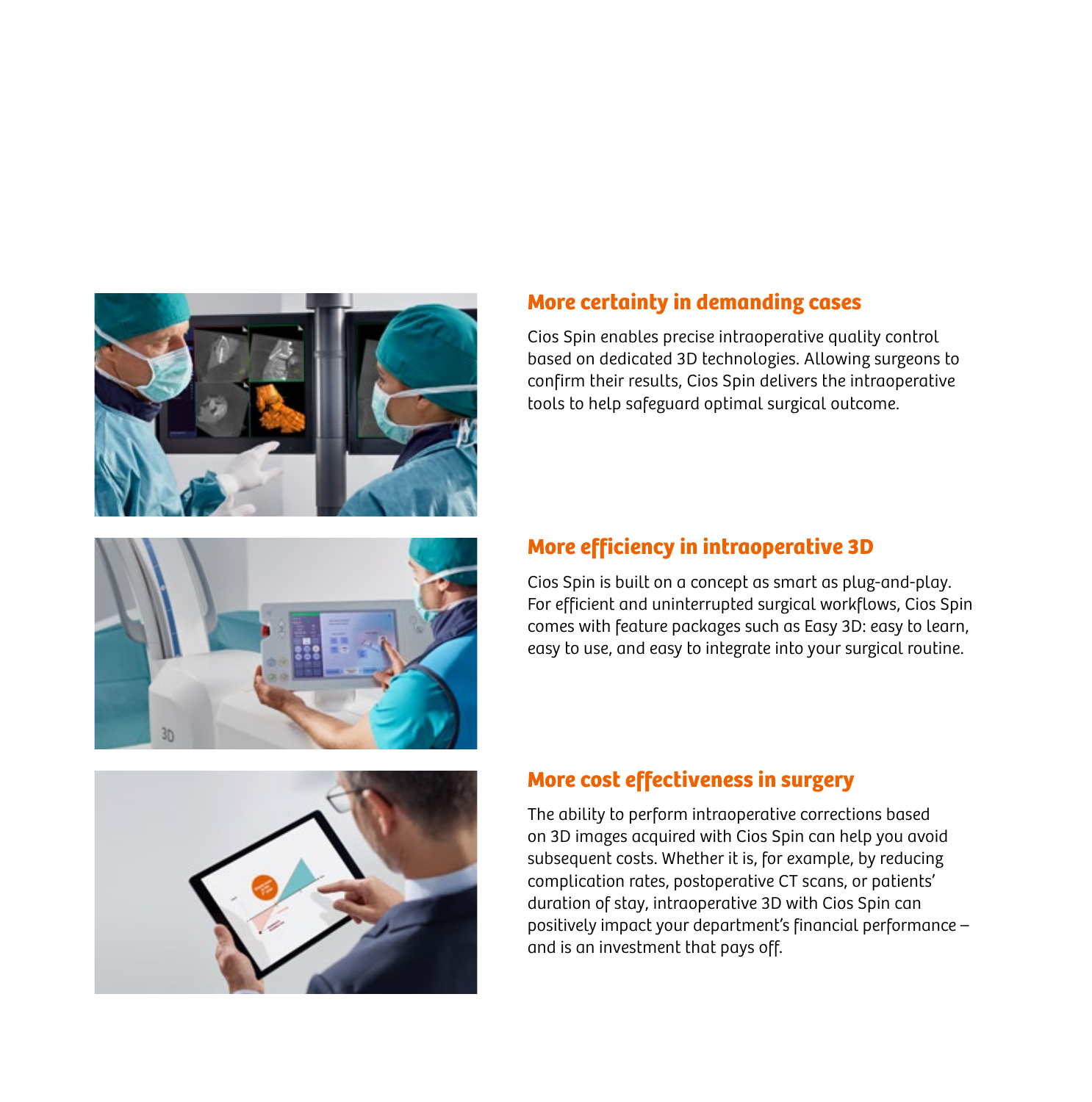

#### **More certainty in demanding cases**

Cios Spin enables precise intraoperative quality control based on dedicated 3D technologies. Allowing surgeons to confirm their results, Cios Spin delivers the intraoperative tools to help safeguard optimal surgical outcome.

#### **More efficiency in intraoperative 3D**

Cios Spin is built on a concept as smart as plug-and-play. For efficient and uninterrupted surgical workflows, Cios Spin comes with feature packages such as Easy 3D: easy to learn, easy to use, and easy to integrate into your surgical routine.

#### **More cost effectiveness in surgery**

The ability to perform intraoperative corrections based on 3D images acquired with Cios Spin can help you avoid subsequent costs. Whether it is, for example, by reducing complication rates, postoperative CT scans, or patients' duration of stay, intraoperative 3D with Cios Spin can positively impact your department's financial performance – and is an investment that pays off.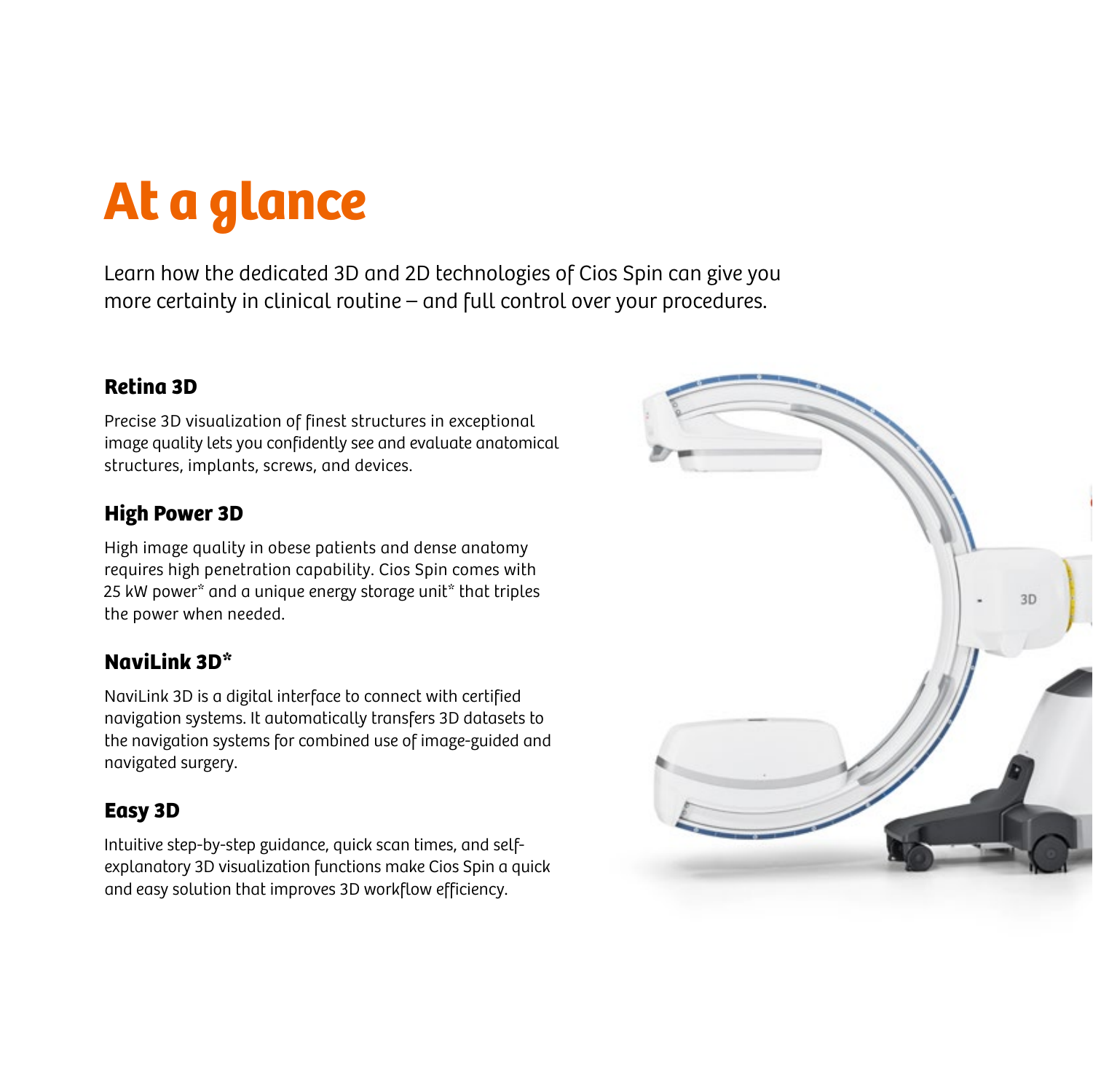## At a glance

Learn how the dedicated 3D and 2D technologies of Cios Spin can give you more certainty in clinical routine – and full control over your procedures.

#### **Retina 3D**

Precise 3D visualization of finest structures in exceptional image quality lets you confidently see and evaluate anatomical structures, implants, screws, and devices.

#### **High Power 3D**

High image quality in obese patients and dense anatomy requires high penetration capability. Cios Spin comes with 25 kW power\* and a unique energy storage unit\* that triples the power when needed.

#### **NaviLink 3D\***

NaviLink 3D is a digital interface to connect with certified navigation systems. It automatically transfers 3D datasets to the navigation systems for combined use of image-guided and navigated surgery.

#### **Easy 3D**

Intuitive step-by-step guidance, quick scan times, and selfexplanatory 3D visualization functions make Cios Spin a quick and easy solution that improves 3D workflow efficiency.

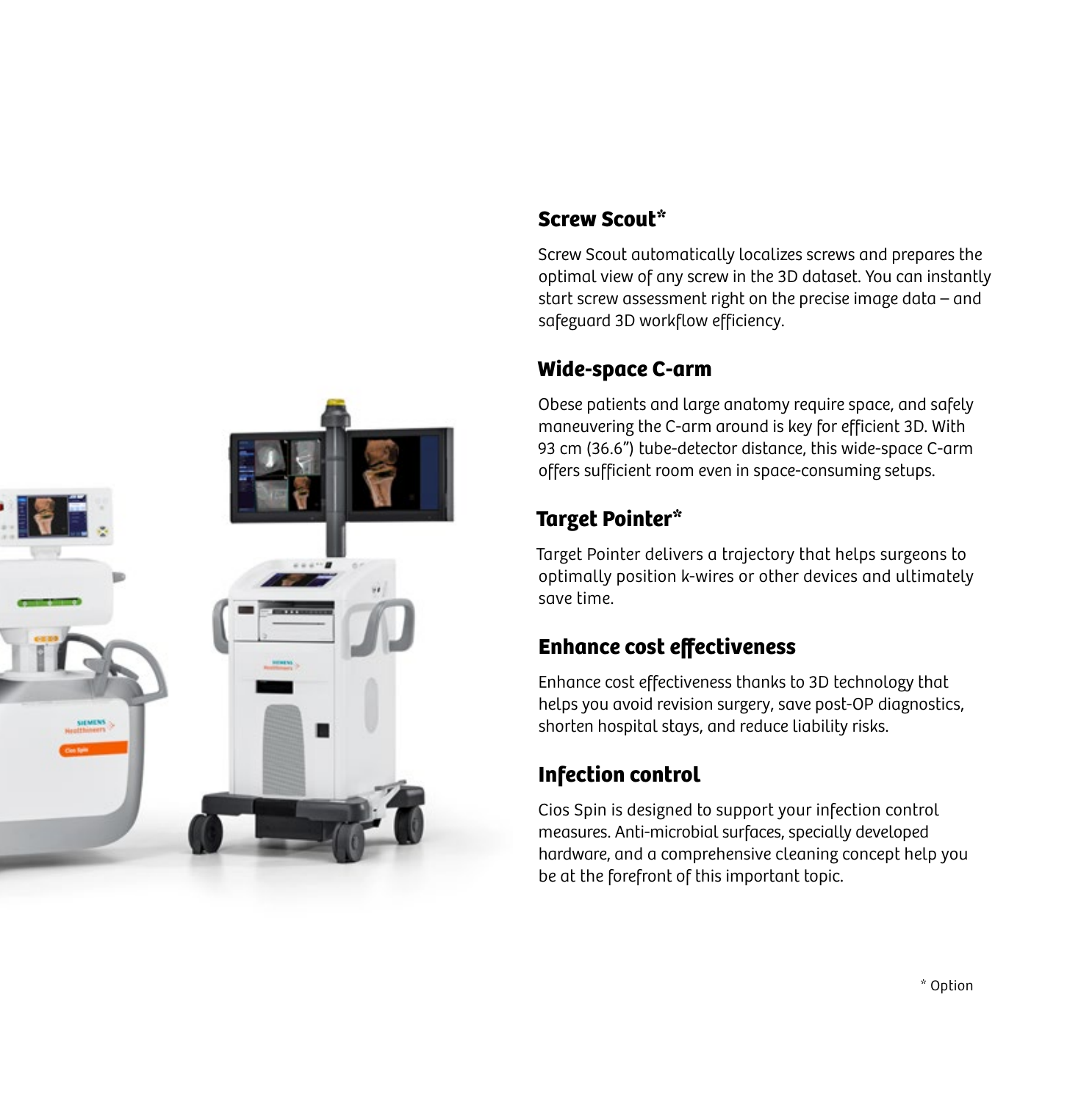

#### **Screw Scout\***

Screw Scout automatically localizes screws and prepares the optimal view of any screw in the 3D dataset. You can instantly start screw assessment right on the precise image data – and safeguard 3D workflow efficiency.

#### **Wide-space C-arm**

Obese patients and large anatomy require space, and safely maneuvering the C-arm around is key for efficient 3D. With 93 cm (36.6") tube-detector distance, this wide-space C-arm offers sufficient room even in space-consuming setups.

#### **Target Pointer\***

Target Pointer delivers a trajectory that helps surgeons to optimally position k-wires or other devices and ultimately save time.

#### **Enhance cost effectiveness**

Enhance cost effectiveness thanks to 3D technology that helps you avoid revision surgery, save post-OP diagnostics, shorten hospital stays, and reduce liability risks.

### **Infection control**

Cios Spin is designed to support your infection control measures. Anti-microbial surfaces, specially developed hardware, and a comprehensive cleaning concept help you be at the forefront of this important topic.